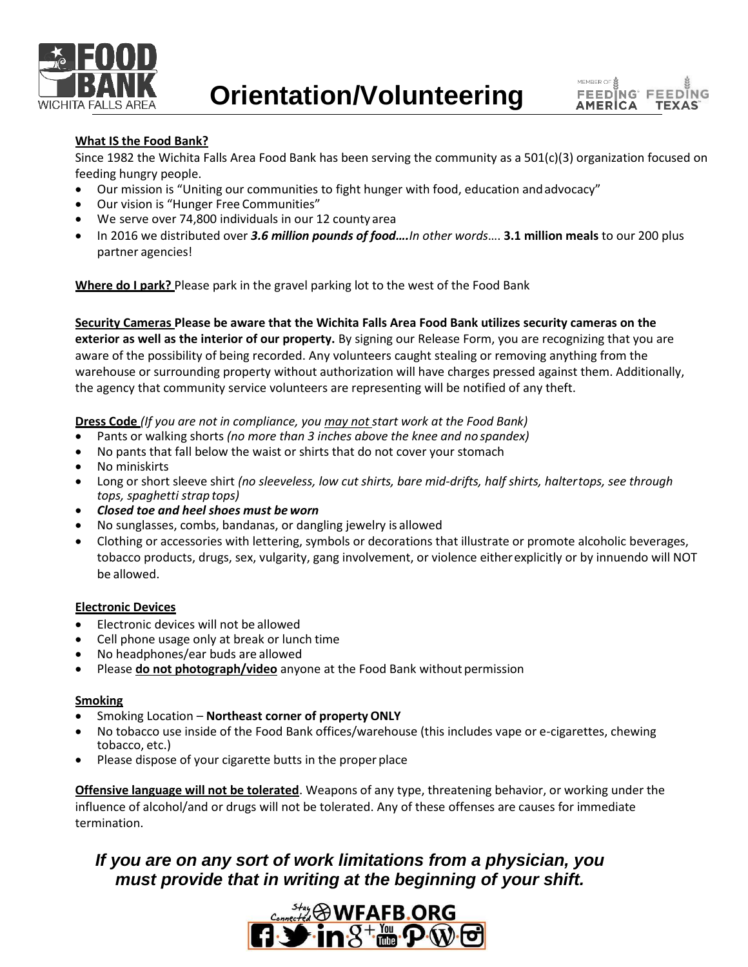



## **What IS the Food Bank?**

Since 1982 the Wichita Falls Area Food Bank has been serving the community as a 501(c)(3) organization focused on feeding hungry people.

- Our mission is "Uniting our communities to fight hunger with food, education andadvocacy"
- Our vision is "Hunger Free Communities"
- We serve over 74,800 individuals in our 12 county area
- In 2016 we distributed over *3.6 million pounds of food….In other words*…. **3.1 million meals** to our 200 plus partner agencies!

**Where do I park?** Please park in the gravel parking lot to the west of the Food Bank

**Security Cameras Please be aware that the Wichita Falls Area Food Bank utilizes security cameras on the exterior as well as the interior of our property.** By signing our Release Form, you are recognizing that you are aware of the possibility of being recorded. Any volunteers caught stealing or removing anything from the warehouse or surrounding property without authorization will have charges pressed against them. Additionally, the agency that community service volunteers are representing will be notified of any theft.

**Dress Code** *(If you are not in compliance, you may not start work at the Food Bank)*

- Pants or walking shorts *(no more than 3 inches above the knee and no spandex)*
- No pants that fall below the waist or shirts that do not cover your stomach
- No miniskirts
- Long or short sleeve shirt *(no sleeveless, low cut shirts, bare mid-drifts, half shirts, haltertops, see through tops, spaghetti strap tops)*
- *Closed toe and heel shoes must be worn*
- No sunglasses, combs, bandanas, or dangling jewelry is allowed
- Clothing or accessories with lettering, symbols or decorations that illustrate or promote alcoholic beverages, tobacco products, drugs, sex, vulgarity, gang involvement, or violence eitherexplicitly or by innuendo will NOT be allowed.

#### **Electronic Devices**

- Electronic devices will not be allowed
- Cell phone usage only at break or lunch time
- No headphones/ear buds are allowed
- Please **do not photograph/video** anyone at the Food Bank without permission

#### **Smoking**

- Smoking Location **Northeast corner of property ONLY**
- No tobacco use inside of the Food Bank offices/warehouse (this includes vape or e-cigarettes, chewing tobacco, etc.)
- Please dispose of your cigarette butts in the proper place

**Offensive language will not be tolerated**. Weapons of any type, threatening behavior, or working under the influence of alcohol/and or drugs will not be tolerated. Any of these offenses are causes for immediate termination.

# *If you are on any sort of work limitations from a physician, you must provide that in writing at the beginning of your shift.*